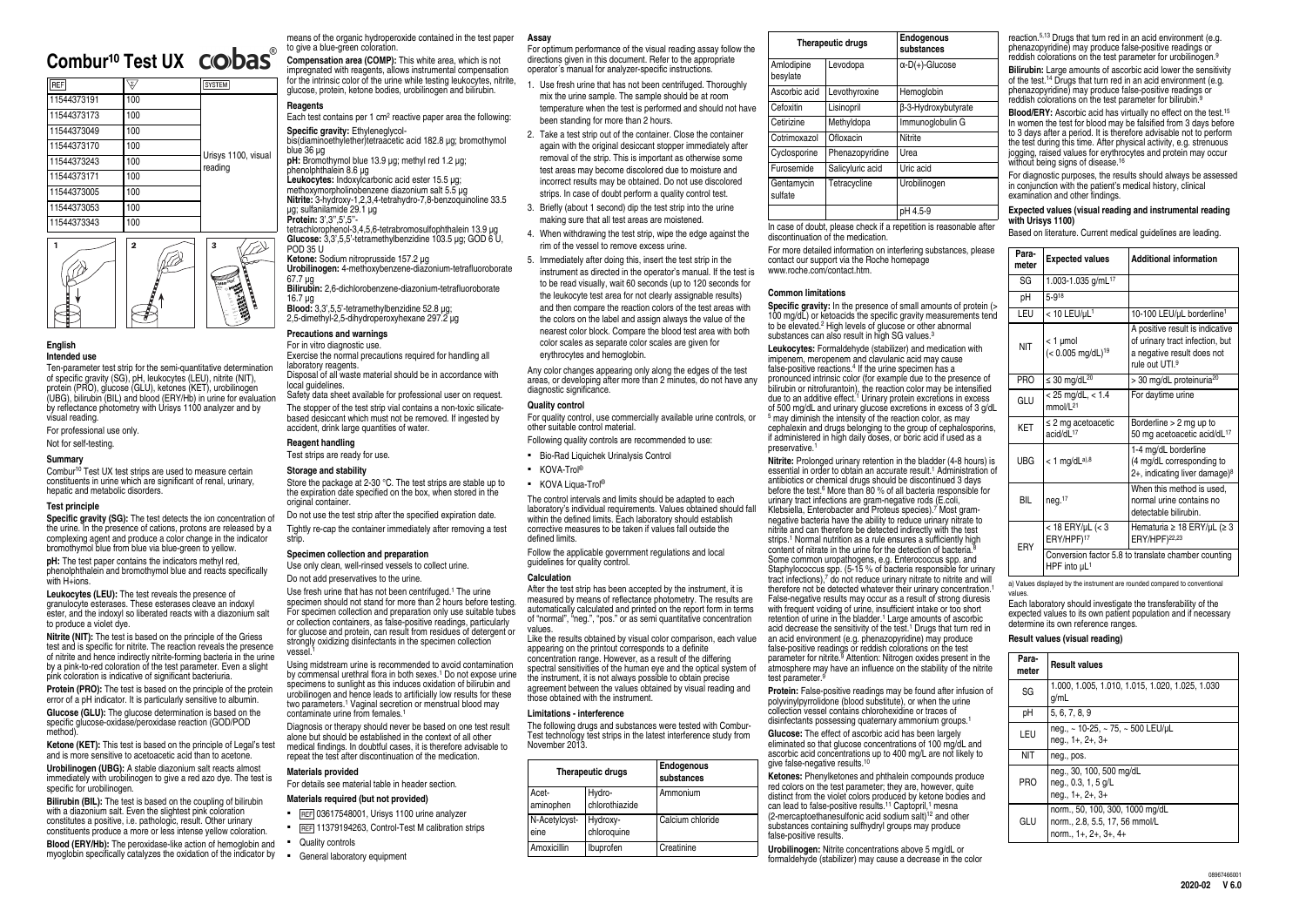# **Combur<sup>10</sup> Test UX CODas**<sup>®</sup>

| <b>REF</b>  | $\Sigma$ | <b>SYSTEM</b>                  |
|-------------|----------|--------------------------------|
| 11544373191 | 100      |                                |
| 11544373173 | 100      |                                |
| 11544373049 | 100      |                                |
| 11544373170 | 100      |                                |
| 11544373243 | 100      | Urisys 1100, visual<br>reading |
| 11544373171 | 100      |                                |
| 11544373005 | 100      |                                |
| 11544373053 | 100      |                                |
| 11544373343 | 100      |                                |



#### **English Intended use**

Combur<sup>10</sup> Test UX test strips are used to measure certain constituents in urine which are significant of renal, urinary, hepatic and metabolic disorders.

**Specific gravity (SG):** The test detects the ion concentration of the urine. In the presence of cations, protons are released by a complexing agent and produce a color change in the indicator bromothymol blue from blue via blue-green to yellow.

Ten-parameter test strip for the semi-quantitative determination of specific gravity (SG), pH, leukocytes (LEU), nitrite (NIT), protein (PRO), glucose (GLU), ketones (KET), urobilinogen (UBG), bilirubin (BIL) and blood (ERY/Hb) in urine for evaluation by reflectance photometry with Urisys 1100 analyzer and by visual reading.

# For professional use only.

Not for self-testing.

#### **Summary**

## **Test principle**

**Ketone (KET):** This test is based on the principle of Legal's test and is more sensitive to acetoacetic acid than to acetone.

**Urobilinogen (UBG):** A stable diazonium salt reacts almost immediately with urobilinogen to give a red azo dye. The test is specific for urobilinogen.

**pH:** The test paper contains the indicators methyl red, phenolphthalein and bromothymol blue and reacts specifically with H+ions.

**Blood (ERY/Hb):** The peroxidase-like action of hemoglobin and myoglobin specifically catalyzes the oxidation of the indicator by

**Leukocytes (LEU):** The test reveals the presence of granulocyte esterases. These esterases cleave an indoxyl ester, and the indoxyl so liberated reacts with a diazonium salt to produce a violet dye.

Each test contains per 1 cm<sup>2</sup> reactive paper area the following: **Specific gravity:** Ethyleneglycol-

**Nitrite (NIT):** The test is based on the principle of the Griess test and is specific for nitrite. The reaction reveals the presence of nitrite and hence indirectly nitrite-forming bacteria in the urine by a pink-to-red coloration of the test parameter. Even a slight pink coloration is indicative of significant bacteriuria.

**Leukocytes:** Indoxylcarbonic acid ester 15.5 μg; methoxymorpholinobenzene diazonium salt 5.5 μg **Nitrite:** 3-hydroxy-1,2,3,4-tetrahydro-7,8-benzoquinoline 33.5 μg; sulfanilamide 29.1 μg **Protein:** 3',3",5',5"-

**Protein (PRO):** The test is based on the principle of the protein error of a pH indicator. It is particularly sensitive to albumin.

**Glucose (GLU):** The glucose determination is based on the specific glucose-oxidase/peroxidase reaction (GOD/POD method).

Exercise the normal precautions required for handling all laboratory reagents

Disposal of all waste material should be in accordance with local quidelines.

Do not use the test strip after the specified expiration date. Tightly re‑cap the container immediately after removing a test strin

**Bilirubin (BIL):** The test is based on the coupling of bilirubin with a diazonium salt. Even the slightest pink coloration constitutes a positive, i.e. pathologic, result. Other urinary constituents produce a more or less intense yellow coloration. Use fresh urine that has not been centrifuged.<sup>1</sup> The urine specimen should not stand for more than 2 hours before testing. For specimen collection and preparation only use suitable tubes or collection containers, as false‑positive readings, particularly for glucose and protein, can result from residues of detergent or strongly oxidizing disinfectants in the specimen collection vessel.<sup>1</sup>

Using midstream urine is recommended to avoid contamination by commensal urethral flora in both sexes.<sup>1</sup> Do not expose urine specimens to sunlight as this induces oxidation of bilirubin and urobilinogen and hence leads to artificially low results for these two parameters.<sup>1</sup> Vaginal secretion or menstrual blood may contaminate urine from females.<sup>1</sup>

means of the organic hydroperoxide contained in the test paper to give a blue-green coloration.

**Compensation area (COMP):** This white area, which is not impregnated with reagents, allows instrumental compensation for the intrinsic color of the urine while testing leukocytes, nitrite, glucose, protein, ketone bodies, urobilinogen and bilirubin.

# **Reagents**

bis(diaminoethylether)tetraacetic acid 182.8 μg; bromothymol blue 36 μg

**pH:** Bromothymol blue 13.9 μg; methyl red 1.2 μg; phenolphthalein 8.6 μg

tetrachlorophenol-3,4,5,6-tetrabromosulfophthalein 13.9 μg **Glucose:** 3,3',5,5'-tetramethylbenzidine 103.5 μg; GOD 6 U, POD 35 U

#### **Ketone:** Sodium nitroprusside 157.2 μg

**Urobilinogen:** 4-methoxybenzene-diazonium-tetrafluoroborate 67.7 μg

**Bilirubin:** 2,6-dichlorobenzene-diazonium-tetrafluoroborate 16.7 μg

- . Use fresh urine that has not been centrifuged. Thoroughly mix the urine sample. The sample should be at room temperature when the test is performed and should not have been standing for more than 2 hours.
- 2. Take a test strip out of the container. Close the container again with the original desiccant stopper immediately after removal of the strip. This is important as otherwise some test areas may become discolored due to moisture and incorrect results may be obtained. Do not use discolored strips. In case of doubt perform a quality control test.
- 3. Briefly (about 1 second) dip the test strip into the urine making sure that all test areas are moistened.
- 4. When withdrawing the test strip, wipe the edge against the rim of the vessel to remove excess urine.
- 5. Immediately after doing this, insert the test strip in the instrument as directed in the operator's manual. If the test is to be read visually, wait 60 seconds (up to 120 seconds for the leukocyte test area for not clearly assignable results) and then compare the reaction colors of the test areas with the colors on the label and assign always the value of the nearest color block. Compare the blood test area with both color scales as separate color scales are given for erythrocytes and hemoglobin.

**Blood:** 3,3',5,5'-tetramethylbenzidine 52.8 μg; 2,5-dimethyl-2,5-dihydroperoxyhexane 297.2 μg

# **Precautions and warnings**

For in vitro diagnostic use.

Safety data sheet available for professional user on request. The stopper of the test strip vial contains a non-toxic silicatebased desiccant which must not be removed. If ingested by

accident, drink large quantities of water. **Reagent handling**

Test strips are ready for use.

# **Storage and stability**

Store the package at 2-30 °C. The test strips are stable up to the expiration date specified on the box, when stored in the original container.

> The following drugs and substances were tested with Combur-Test technology test strips in the latest interference study from November 2013.

# **Specimen collection and preparation**

Use only clean, well-rinsed vessels to collect urine.

Do not add preservatives to the urine.

**Leukocytes:** Formaldehyde (stabilizer) and medication with imipenem, meropenem and clavulanic acid may cause false-positive reactions.<sup>4</sup> If the urine specimen has a pronounced intrinsic color (for example due to the presence of bilirubin or nitrofurantoin), the reaction color may be intensified due to an additive effect.<sup>1</sup> Urinary protein excretions in excess of 500 mg/dL and urinary glucose excretions in excess of 3 g/d <sup>5</sup> may diminish the intensity of the reaction color, as may cephalexin and drugs belonging to the group of cephalosporins if administered in high daily doses, or boric acid if used as a preservative.

**Nitrite:** Prolonged urinary retention in the bladder (4-8 hours) is essential in order to obtain an accurate result.<sup>1</sup> Administration antibiotics or chemical drugs should be discontinued 3 days before the test.<sup>6</sup> More than 80 % of all bacteria responsible for urinary tract infections are gram-negative rods (E.coli, Klebsiella, Enterobacter and Proteus species).<sup>7</sup> Most gramnegative bacteria have the ability to reduce urinary nitrate to nitrite and can therefore be detected indirectly with the test strips.<sup>1</sup> Normal nutrition as a rule ensures a sufficiently high content of nitrate in the urine for the detection of bacteria.<sup>1</sup> Some common uropathogens, e.g. Enterococcus spp. and Staphylococcus spp. (5-15 % of bacteria responsible for urinary tract infections),7 do not reduce urinary nitrate to nitrite and will therefore not be detected whatever their urinary concentration.<sup>1</sup> False‑negative results may occur as a result of strong diuresis with frequent voiding of urine, insufficient intake or too short retention of urine in the bladder.<sup>1</sup> Large amounts of ascorbic acid decrease the sensitivity of the test.<sup>1</sup> Drugs that turn red in an acid environment (e.g. phenazopyridine) may produce false‑positive readings or reddish colorations on the test parameter for nitrite.<sup>9</sup> Attention: Nitrogen oxides present in the atmosphere may have an influence on the stability of the nitrite test parameter.<sup>9</sup>

Protein: False-positive readings may be found after infusion of polyvinylpyrrolidone (blood substitute), or when the urine collection vessel contains chlorohexidine or traces of disinfectants possessing quaternary ammonium groups.<sup>1</sup>

Diagnosis or therapy should never be based on one test result alone but should be established in the context of all other medical findings. In doubtful cases, it is therefore advisable to repeat the test after discontinuation of the medication.

# **Materials provided**

For details see material table in header section.

## **Materials required (but not provided)**

- **EXECTE 126617548001, Urisys 1100 urine analyzer**
- **EXECTE 11379194263, Control-Test M calibration strips**
- Quality controls
- **•** General laboratory equipment

#### **Assay**

For optimum performance of the visual reading assay follow the directions given in this document. Refer to the appropriate operator´s manual for analyzer-specific instructions.

> **Glucose:** The effect of ascorbic acid has been largely eliminated so that glucose concentrations of 100 mg/dL and ascorbic acid concentrations up to 400 mg/L are not likely to give false-negative results.<sup>10</sup>

**Ketones:** Phenylketones and phthalein compounds produce red colors on the test parameter; they are, however, quite distinct from the violet colors produced by ketone bodies and can lead to false-positive results.<sup>11</sup> Captopril,<sup>1</sup> mesna  $(2$ -mercaptoethanesulfonic acid sodium salt)<sup>12</sup> and other substances containing sulfhydryl groups may produce false-positive results.

reaction.5,13 Drugs that turn red in an acid environment (e.g. phenazopyridine) may produce false‑positive readings or reddish colorations on the test parameter for urobilinogen.<sup>9</sup>

**Bilirubin:** Large amounts of ascorbic acid lower the sensitivity of the test.<sup>14</sup> Drugs that turn red in an acid environment (e.g. phenazopyridine) may produce false-positive readings or reddish colorations on the test parameter for bilirubin.<sup>9</sup>

Any color changes appearing only along the edges of the test areas, or developing after more than 2 minutes, do not have any diagnostic significance.

## **Quality control**

For quality control, use commercially available urine controls, or other suitable control material.

Following quality controls are recommended to use:

- Bio-Rad Liquichek Urinalysis Control
- KOVA-Trol<sup>®</sup>
- KOVA Liqua-Trol<sup>®</sup>

The control intervals and limits should be adapted to each laboratory's individual requirements. Values obtained should fall within the defined limits. Each laboratory should establish corrective measures to be taken if values fall outside the defined limits.

Follow the applicable government regulations and local guidelines for quality control.

#### **Calculation**

After the test strip has been accepted by the instrument, it is measured by means of reflectance photometry. The results are automatically calculated and printed on the report form in terms of "normal", "neg.", "pos." or as semi quantitative concentration values.

Like the results obtained by visual color comparison, each value appearing on the printout corresponds to a definite concentration range. However, as a result of the differing spectral sensitivities of the human eve and the optical system of the instrument, it is not always possible to obtain precise agreement between the values obtained by visual reading and those obtained with the instrument.

#### **Limitations - interference**

| <b>Therapeutic drugs</b>                       |                         | <b>Endogenous</b><br>substances |
|------------------------------------------------|-------------------------|---------------------------------|
| Hydro-<br>Acet-<br>chlorothiazide<br>aminophen |                         | Ammonium                        |
| N-Acetylcyst-<br>eine                          | Hydroxy-<br>chloroquine | Calcium chloride                |
| Amoxicillin                                    | Ibuprofen               | Creatinine                      |

|                        | <b>Therapeutic drugs</b> | <b>Endogenous</b><br>substances |
|------------------------|--------------------------|---------------------------------|
| Amlodipine<br>besylate | Levodopa                 | $\alpha$ -D(+)-Glucose          |
| Ascorbic acid          | Levothyroxine            | Hemoglobin                      |
| Cefoxitin              | Lisinopril               | β-3-Hydroxybutyrate             |
| Cetirizine             | Methyldopa               | Immunoglobulin G                |
| Cotrimoxazol           | Ofloxacin                | <b>Nitrite</b>                  |
| Cyclosporine           | Phenazopyridine          | Urea                            |
| Furosemide             | Salicyluric acid         | Uric acid                       |
| Gentamycin<br>sulfate  | Tetracycline             | Urobilinogen                    |
|                        |                          | pH 4.5-9                        |

In case of doubt, please check if a repetition is reasonable after discontinuation of the medication.

For more detailed information on interfering substances, please contact our support via the Roche homepage www.roche.com/contact.htm.

# **Common limitations**

**Specific gravity:** In the presence of small amounts of protein 100 mg/dL) or ketoacids the specific gravity measurements ten to be elevated.<sup>2</sup> High levels of glucose or other abnormal substances can also result in high SG values.<sup>3</sup>

**Urobilinogen:** Nitrite concentrations above 5 mg/dL or formaldehyde (stabilizer) may cause a decrease in the color



**Blood/ERY:** Ascorbic acid has virtually no effect on the test. 15 In women the test for blood may be falsified from 3 days before to 3 days after a period. It is therefore advisable not to perform the test during this time. After physical activity, e.g. strenuous jogging, raised values for erythrocytes and protein may occur without being signs of disease. 16

For diagnostic purposes, the results should always be assessed in conjunction with the patient's medical history, clinical examination and other findings.

# **Expected values (visual reading and instrumental reading with Urisys 1100)**

Based on literature. Current medical guidelines are leading.

| è        | Para-<br>meter | <b>Expected values</b>                          | <b>Additional information</b>                                                                                      |  |
|----------|----------------|-------------------------------------------------|--------------------------------------------------------------------------------------------------------------------|--|
|          | SG             | 1.003-1.035 g/mL17                              |                                                                                                                    |  |
|          | рH             | $5 - 9^{18}$                                    |                                                                                                                    |  |
| (><br>٦d | LEU            | $< 10$ LEU/ $\mu$ L <sup>1</sup>                | 10-100 LEU/µL borderline <sup>1</sup>                                                                              |  |
|          | <b>NIT</b>     | < 1 µmol<br>$(< 0.005$ mg/dL) <sup>19</sup>     | A positive result is indicative<br>of urinary tract infection, but<br>a negative result does not<br>rule out UTI.9 |  |
|          | <b>PRO</b>     | $\leq 30$ mg/dL <sup>20</sup>                   | > 30 mg/dL proteinuria <sup>20</sup>                                                                               |  |
| ۱L       | GLU            | $< 25$ mg/dL, $< 1.4$<br>mmol/L <sup>21</sup>   | For daytime urine                                                                                                  |  |
| ŝ,       | <b>KET</b>     | $\leq$ 2 mg acetoacetic<br>$acid/dL^{17}$       | Borderline $> 2$ mg up to<br>50 mg acetoacetic acid/dL <sup>17</sup>                                               |  |
| s<br>оf  | <b>UBG</b>     | $< 1$ mg/dLa),8                                 | 1-4 mg/dL borderline<br>(4 mg/dL corresponding to<br>$2+$ , indicating liver damage) <sup>8</sup>                  |  |
|          | <b>BIL</b>     | neg. <sup>17</sup>                              | When this method is used,<br>normal urine contains no<br>detectable bilirubin.                                     |  |
|          | ERY            | $< 18$ ERY/µL ( $< 3$<br>ERY/HPF) <sup>17</sup> | Hematuria $\geq 18$ ERY/µL ( $\geq 3$<br>ERY/HPF) <sup>22,23</sup>                                                 |  |
| y        |                | HPF into $\mu L$ <sup>1</sup>                   | Conversion factor 5.8 to translate chamber counting                                                                |  |

a) Values displayed by the instrument are rounded compared to conventional values.

Each laboratory should investigate the transferability of the expected values to its own patient population and if necessary determine its own reference ranges.

# **Result values (visual reading)**

| Para-<br>meter | <b>Result values</b>                                                                         |
|----------------|----------------------------------------------------------------------------------------------|
| SG             | 1.000, 1.005, 1.010, 1.015, 1.020, 1.025, 1.030<br>g/mL                                      |
| pH             | 5, 6, 7, 8, 9                                                                                |
| LEU            | neg., ~ 10-25, ~ 75, ~ 500 LEU/ $\mu$ L<br>$neq, 1+, 2+, 3+$                                 |
| NIT            | neg., pos.                                                                                   |
| <b>PRO</b>     | neg., 30, 100, 500 mg/dL<br>neg., 0.3, 1, 5 g/L<br>$neq, 1+, 2+, 3+$                         |
| GLU            | norm., 50, 100, 300, 1000 mg/dL<br>norm., 2.8, 5.5, 17, 56 mmol/L<br>norm., $1+, 2+, 3+, 4+$ |